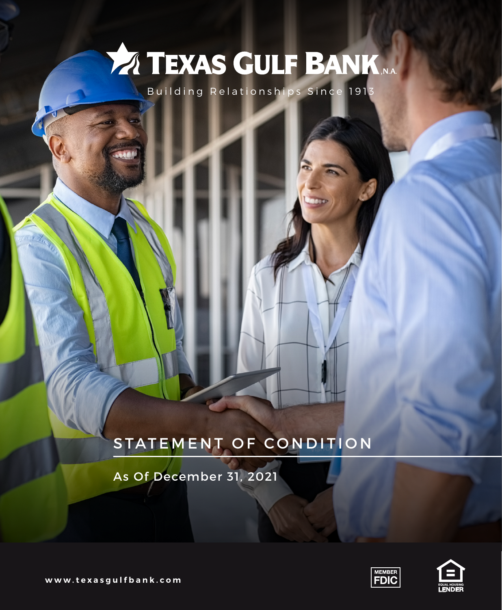# **72 TEXAS GULF BANK** NA

Building Relationships Since 1913

## STATEMENT OF CONDITION

As Of December 31, 2021





**www.texasgulfbank.com**